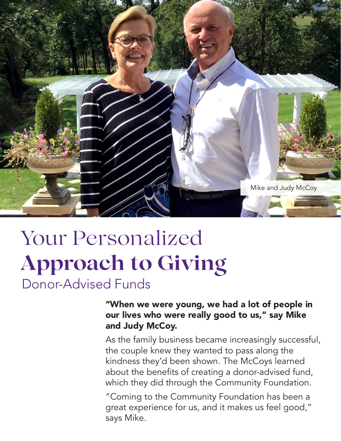

# Donor-Advised Funds Your Personalized **Approach to Giving**

"When we were young, we had a lot of people in our lives who were really good to us," say Mike and Judy McCoy.

As the family business became increasingly successful, the couple knew they wanted to pass along the kindness they'd been shown. The McCoys learned about the benefits of creating a donor-advised fund, which they did through the Community Foundation.

"Coming to the Community Foundation has been a great experience for us, and it makes us feel good," says Mike.